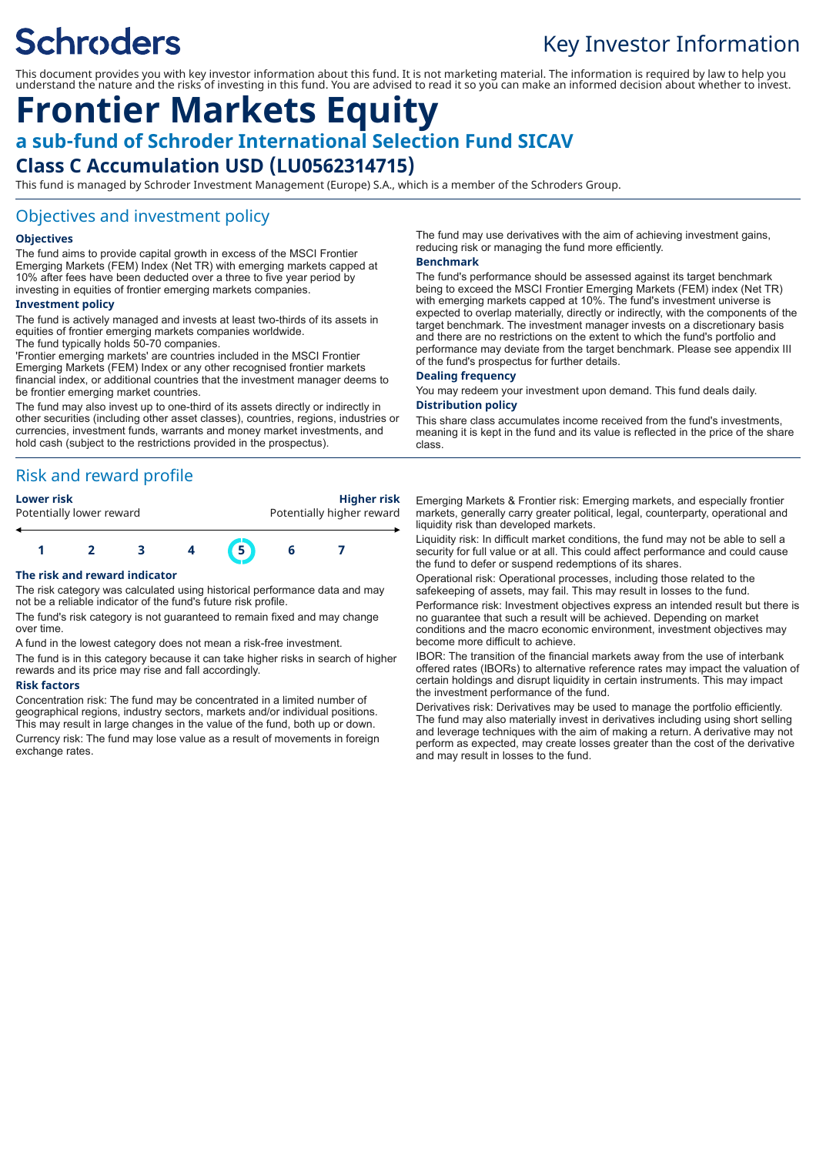# **Schroders**

## Key Investor Information

This document provides you with key investor information about this fund. It is not marketing material. The information is required by law to help you understand the nature and the risks of investing in this fund. You are advised to read it so you can make an informed decision about whether to invest.

### **Frontier Markets Equity a sub-fund of Schroder International Selection Fund SICAV Class C Accumulation USD (LU0562314715)**

This fund is managed by Schroder Investment Management (Europe) S.A., which is a member of the Schroders Group.

#### Objectives and investment policy

#### **Objectives**

The fund aims to provide capital growth in excess of the MSCI Frontier Emerging Markets (FEM) Index (Net TR) with emerging markets capped at 10% after fees have been deducted over a three to five year period by investing in equities of frontier emerging markets companies.

#### **Investment policy**

The fund is actively managed and invests at least two-thirds of its assets in equities of frontier emerging markets companies worldwide. The fund typically holds 50-70 companies.

'Frontier emerging markets' are countries included in the MSCI Frontier Emerging Markets (FEM) Index or any other recognised frontier markets financial index, or additional countries that the investment manager deems to be frontier emerging market countries.

The fund may also invest up to one-third of its assets directly or indirectly in other securities (including other asset classes), countries, regions, industries or currencies, investment funds, warrants and money market investments, and hold cash (subject to the restrictions provided in the prospectus).

### Risk and reward profile

Potentially lower reward **Potentially higher reward** 

**Lower risk Higher risk**



#### **The risk and reward indicator**

The risk category was calculated using historical performance data and may not be a reliable indicator of the fund's future risk profile.

The fund's risk category is not guaranteed to remain fixed and may change over time.

A fund in the lowest category does not mean a risk-free investment.

The fund is in this category because it can take higher risks in search of higher rewards and its price may rise and fall accordingly.

#### **Risk factors**

Concentration risk: The fund may be concentrated in a limited number of geographical regions, industry sectors, markets and/or individual positions. This may result in large changes in the value of the fund, both up or down. Currency risk: The fund may lose value as a result of movements in foreign exchange rates.

The fund may use derivatives with the aim of achieving investment gains, reducing risk or managing the fund more efficiently.

#### **Benchmark**

The fund's performance should be assessed against its target benchmark being to exceed the MSCI Frontier Emerging Markets (FEM) index (Net TR) with emerging markets capped at 10%. The fund's investment universe is expected to overlap materially, directly or indirectly, with the components of the target benchmark. The investment manager invests on a discretionary basis and there are no restrictions on the extent to which the fund's portfolio and performance may deviate from the target benchmark. Please see appendix III of the fund's prospectus for further details.

#### **Dealing frequency**

You may redeem your investment upon demand. This fund deals daily.

#### **Distribution policy**

This share class accumulates income received from the fund's investments, meaning it is kept in the fund and its value is reflected in the price of the share class.

Emerging Markets & Frontier risk: Emerging markets, and especially frontier markets, generally carry greater political, legal, counterparty, operational and liquidity risk than developed markets.

Liquidity risk: In difficult market conditions, the fund may not be able to sell a security for full value or at all. This could affect performance and could cause the fund to defer or suspend redemptions of its shares.

Operational risk: Operational processes, including those related to the safekeeping of assets, may fail. This may result in losses to the fund.

Performance risk: Investment objectives express an intended result but there is no guarantee that such a result will be achieved. Depending on market conditions and the macro economic environment, investment objectives may become more difficult to achieve.

IBOR: The transition of the financial markets away from the use of interbank offered rates (IBORs) to alternative reference rates may impact the valuation of certain holdings and disrupt liquidity in certain instruments. This may impact the investment performance of the fund.

Derivatives risk: Derivatives may be used to manage the portfolio efficiently. The fund may also materially invest in derivatives including using short selling and leverage techniques with the aim of making a return. A derivative may not perform as expected, may create losses greater than the cost of the derivative and may result in losses to the fund.